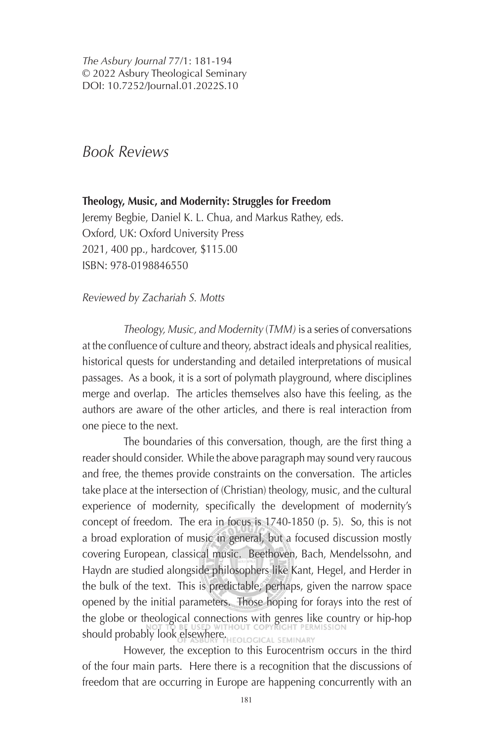*The Asbury Journal* 77/1: 181-194 © 2022 Asbury Theological Seminary DOI: 10.7252/Journal.01.2022S.10

# *Book Reviews*

**Theology, Music, and Modernity: Struggles for Freedom** Jeremy Begbie, Daniel K. L. Chua, and Markus Rathey, eds. Oxford, UK: Oxford University Press 2021, 400 pp., hardcover, \$115.00 ISBN: 978-0198846550

*Reviewed by Zachariah S. Motts*

*Theology, Music, and Modernity* (*TMM)* is a series of conversations at the confluence of culture and theory, abstract ideals and physical realities, historical quests for understanding and detailed interpretations of musical passages. As a book, it is a sort of polymath playground, where disciplines merge and overlap. The articles themselves also have this feeling, as the authors are aware of the other articles, and there is real interaction from one piece to the next.

The boundaries of this conversation, though, are the first thing a reader should consider. While the above paragraph may sound very raucous and free, the themes provide constraints on the conversation. The articles take place at the intersection of (Christian) theology, music, and the cultural experience of modernity, specifically the development of modernity's concept of freedom. The era in focus is 1740-1850 (p. 5). So, this is not a broad exploration of music in general, but a focused discussion mostly covering European, classical music. Beethoven, Bach, Mendelssohn, and Haydn are studied alongside philosophers like Kant, Hegel, and Herder in the bulk of the text. This is predictable, perhaps, given the narrow space opened by the initial parameters. Those hoping for forays into the rest of the globe or theological connections with genres like country or hip-hop should probably look elsewhere. HEOLOGICAL SEMINARY

However, the exception to this Eurocentrism occurs in the third of the four main parts. Here there is a recognition that the discussions of freedom that are occurring in Europe are happening concurrently with an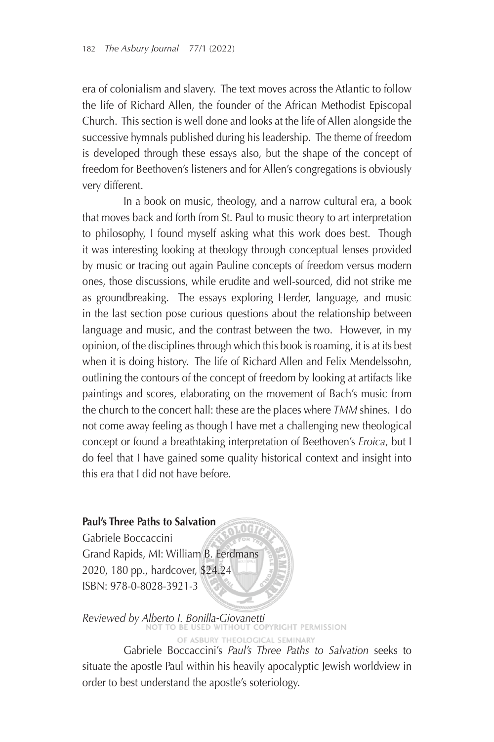era of colonialism and slavery. The text moves across the Atlantic to follow the life of Richard Allen, the founder of the African Methodist Episcopal Church. This section is well done and looks at the life of Allen alongside the successive hymnals published during his leadership. The theme of freedom is developed through these essays also, but the shape of the concept of freedom for Beethoven's listeners and for Allen's congregations is obviously very different.

In a book on music, theology, and a narrow cultural era, a book that moves back and forth from St. Paul to music theory to art interpretation to philosophy, I found myself asking what this work does best. Though it was interesting looking at theology through conceptual lenses provided by music or tracing out again Pauline concepts of freedom versus modern ones, those discussions, while erudite and well-sourced, did not strike me as groundbreaking. The essays exploring Herder, language, and music in the last section pose curious questions about the relationship between language and music, and the contrast between the two. However, in my opinion, of the disciplines through which this book is roaming, it is at its best when it is doing history. The life of Richard Allen and Felix Mendelssohn, outlining the contours of the concept of freedom by looking at artifacts like paintings and scores, elaborating on the movement of Bach's music from the church to the concert hall: these are the places where *TMM* shines. I do not come away feeling as though I have met a challenging new theological concept or found a breathtaking interpretation of Beethoven's *Eroica*, but I do feel that I have gained some quality historical context and insight into this era that I did not have before.

#### **Paul's Three Paths to Salvation**

Gabriele Boccaccini Grand Rapids, MI: William B. Eerdmans 2020, 180 pp., hardcover, \$24.24 ISBN: 978-0-8028-3921-3

*Reviewed by Alberto I. Bonilla-Giovanetti* OF ASBURY THEOLOGICAL SEMINARY

Gabriele Boccaccini's *Paul's Three Paths to Salvation* seeks to situate the apostle Paul within his heavily apocalyptic Jewish worldview in order to best understand the apostle's soteriology.

 $0G$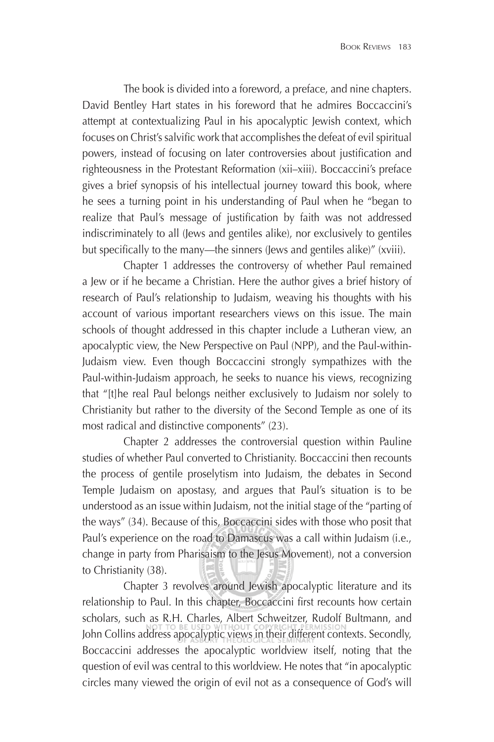The book is divided into a foreword, a preface, and nine chapters. David Bentley Hart states in his foreword that he admires Boccaccini's attempt at contextualizing Paul in his apocalyptic Jewish context, which focuses on Christ's salvific work that accomplishes the defeat of evil spiritual powers, instead of focusing on later controversies about justification and righteousness in the Protestant Reformation (xii–xiii). Boccaccini's preface gives a brief synopsis of his intellectual journey toward this book, where he sees a turning point in his understanding of Paul when he "began to realize that Paul's message of justification by faith was not addressed indiscriminately to all (Jews and gentiles alike), nor exclusively to gentiles but specifically to the many—the sinners (Jews and gentiles alike)" (xviii).

Chapter 1 addresses the controversy of whether Paul remained a Jew or if he became a Christian. Here the author gives a brief history of research of Paul's relationship to Judaism, weaving his thoughts with his account of various important researchers views on this issue. The main schools of thought addressed in this chapter include a Lutheran view, an apocalyptic view, the New Perspective on Paul (NPP), and the Paul-within-Judaism view. Even though Boccaccini strongly sympathizes with the Paul-within-Judaism approach, he seeks to nuance his views, recognizing that "[t]he real Paul belongs neither exclusively to Judaism nor solely to Christianity but rather to the diversity of the Second Temple as one of its most radical and distinctive components" (23).

Chapter 2 addresses the controversial question within Pauline studies of whether Paul converted to Christianity. Boccaccini then recounts the process of gentile proselytism into Judaism, the debates in Second Temple Judaism on apostasy, and argues that Paul's situation is to be understood as an issue within Judaism, not the initial stage of the "parting of the ways" (34). Because of this, Boccaccini sides with those who posit that Paul's experience on the road to Damascus was a call within Judaism (i.e., change in party from Pharisaism to the Jesus Movement), not a conversion to Christianity (38).

Chapter 3 revolves around Jewish apocalyptic literature and its relationship to Paul. In this chapter, Boccaccini first recounts how certain scholars, such as R.H. Charles, Albert Schweitzer, Rudolf Bultmann, and John Collins address apocalyptic views in their different contexts. Secondly, Boccaccini addresses the apocalyptic worldview itself, noting that the question of evil was central to this worldview. He notes that "in apocalyptic circles many viewed the origin of evil not as a consequence of God's will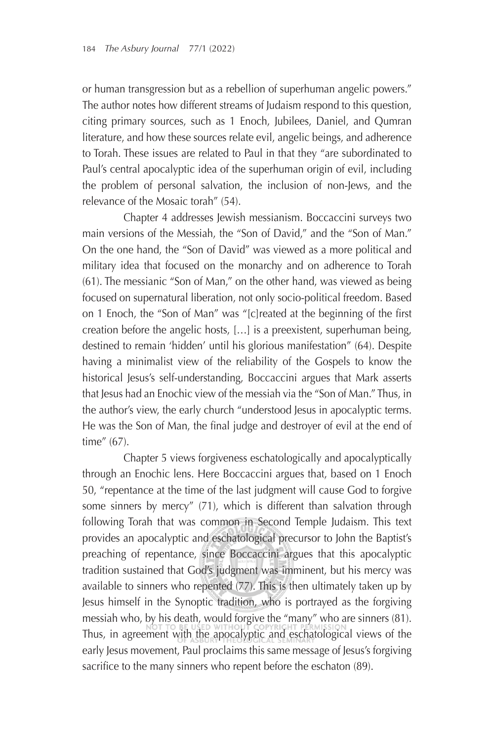or human transgression but as a rebellion of superhuman angelic powers." The author notes how different streams of Judaism respond to this question, citing primary sources, such as 1 Enoch, Jubilees, Daniel, and Qumran literature, and how these sources relate evil, angelic beings, and adherence to Torah. These issues are related to Paul in that they "are subordinated to Paul's central apocalyptic idea of the superhuman origin of evil, including the problem of personal salvation, the inclusion of non-Jews, and the relevance of the Mosaic torah" (54).

Chapter 4 addresses Jewish messianism. Boccaccini surveys two main versions of the Messiah, the "Son of David," and the "Son of Man." On the one hand, the "Son of David" was viewed as a more political and military idea that focused on the monarchy and on adherence to Torah (61). The messianic "Son of Man," on the other hand, was viewed as being focused on supernatural liberation, not only socio-political freedom. Based on 1 Enoch, the "Son of Man" was "[c]reated at the beginning of the first creation before the angelic hosts, […] is a preexistent, superhuman being, destined to remain 'hidden' until his glorious manifestation" (64). Despite having a minimalist view of the reliability of the Gospels to know the historical Jesus's self-understanding, Boccaccini argues that Mark asserts that Jesus had an Enochic view of the messiah via the "Son of Man." Thus, in the author's view, the early church "understood Jesus in apocalyptic terms. He was the Son of Man, the final judge and destroyer of evil at the end of time" (67).

Chapter 5 views forgiveness eschatologically and apocalyptically through an Enochic lens. Here Boccaccini argues that, based on 1 Enoch 50, "repentance at the time of the last judgment will cause God to forgive some sinners by mercy" (71), which is different than salvation through following Torah that was common in Second Temple Judaism. This text provides an apocalyptic and eschatological precursor to John the Baptist's preaching of repentance, since Boccaccini argues that this apocalyptic tradition sustained that God's judgment was imminent, but his mercy was available to sinners who repented (77). This is then ultimately taken up by Jesus himself in the Synoptic tradition, who is portrayed as the forgiving messiah who, by his death, would forgive the "many" who are sinners (81). Thus, in agreement with the apocalyptic and eschatological views of the early Jesus movement, Paul proclaims this same message of Jesus's forgiving sacrifice to the many sinners who repent before the eschaton (89).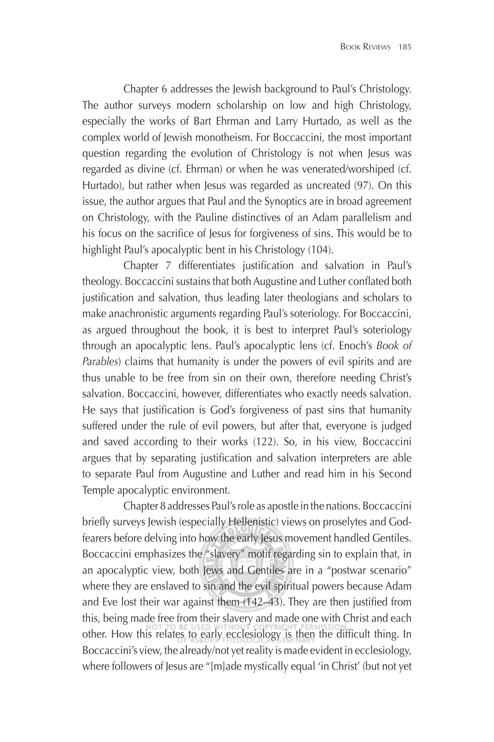Chapter 6 addresses the Jewish background to Paul's Christology. The author surveys modern scholarship on low and high Christology, especially the works of Bart Ehrman and Larry Hurtado, as well as the complex world of Jewish monotheism. For Boccaccini, the most important question regarding the evolution of Christology is not when Jesus was regarded as divine (cf. Ehrman) or when he was venerated/worshiped (cf. Hurtado), but rather when Jesus was regarded as uncreated (97). On this issue, the author argues that Paul and the Synoptics are in broad agreement on Christology, with the Pauline distinctives of an Adam parallelism and his focus on the sacrifice of Jesus for forgiveness of sins. This would be to highlight Paul's apocalyptic bent in his Christology (104).

Chapter 7 differentiates justification and salvation in Paul's theology. Boccaccini sustains that both Augustine and Luther conflated both justification and salvation, thus leading later theologians and scholars to make anachronistic arguments regarding Paul's soteriology. For Boccaccini, as argued throughout the book, it is best to interpret Paul's soteriology through an apocalyptic lens. Paul's apocalyptic lens (cf. Enoch's *Book of Parables*) claims that humanity is under the powers of evil spirits and are thus unable to be free from sin on their own, therefore needing Christ's salvation. Boccaccini, however, differentiates who exactly needs salvation. He says that justification is God's forgiveness of past sins that humanity suffered under the rule of evil powers, but after that, everyone is judged and saved according to their works (122). So, in his view, Boccaccini argues that by separating justification and salvation interpreters are able to separate Paul from Augustine and Luther and read him in his Second Temple apocalyptic environment.

Chapter 8 addresses Paul's role as apostle in the nations. Boccaccini briefly surveys Jewish (especially Hellenistic) views on proselytes and Godfearers before delving into how the early Jesus movement handled Gentiles. Boccaccini emphasizes the "slavery" motif regarding sin to explain that, in an apocalyptic view, both Jews and Gentiles are in a "postwar scenario" where they are enslaved to sin and the evil spiritual powers because Adam and Eve lost their war against them  $(142-43)$ . They are then justified from this, being made free from their slavery and made one with Christ and each other. How this relates to early ecclesiology is then the difficult thing. In Boccaccini's view, the already/not yet reality is made evident in ecclesiology, where followers of Jesus are "[m]ade mystically equal 'in Christ' (but not yet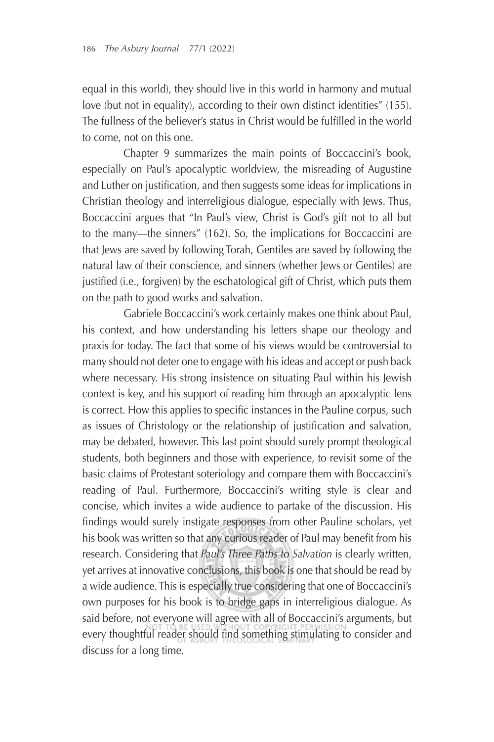equal in this world), they should live in this world in harmony and mutual love (but not in equality), according to their own distinct identities" (155). The fullness of the believer's status in Christ would be fulfilled in the world to come, not on this one.

Chapter 9 summarizes the main points of Boccaccini's book, especially on Paul's apocalyptic worldview, the misreading of Augustine and Luther on justification, and then suggests some ideas for implications in Christian theology and interreligious dialogue, especially with Jews. Thus, Boccaccini argues that "In Paul's view, Christ is God's gift not to all but to the many—the sinners" (162). So, the implications for Boccaccini are that Jews are saved by following Torah, Gentiles are saved by following the natural law of their conscience, and sinners (whether Jews or Gentiles) are justified (i.e., forgiven) by the eschatological gift of Christ, which puts them on the path to good works and salvation.

Gabriele Boccaccini's work certainly makes one think about Paul, his context, and how understanding his letters shape our theology and praxis for today. The fact that some of his views would be controversial to many should not deter one to engage with his ideas and accept or push back where necessary. His strong insistence on situating Paul within his Jewish context is key, and his support of reading him through an apocalyptic lens is correct. How this applies to specific instances in the Pauline corpus, such as issues of Christology or the relationship of justification and salvation, may be debated, however. This last point should surely prompt theological students, both beginners and those with experience, to revisit some of the basic claims of Protestant soteriology and compare them with Boccaccini's reading of Paul. Furthermore, Boccaccini's writing style is clear and concise, which invites a wide audience to partake of the discussion. His findings would surely instigate responses from other Pauline scholars, yet his book was written so that any curious reader of Paul may benefit from his research. Considering that *Paul's Three Paths to Salvation* is clearly written, yet arrives at innovative conclusions, this book is one that should be read by a wide audience. This is especially true considering that one of Boccaccini's own purposes for his book is to bridge gaps in interreligious dialogue. As said before, not everyone will agree with all of Boccaccini's arguments, but every thoughtful reader should find something stimulating to consider and discuss for a long time.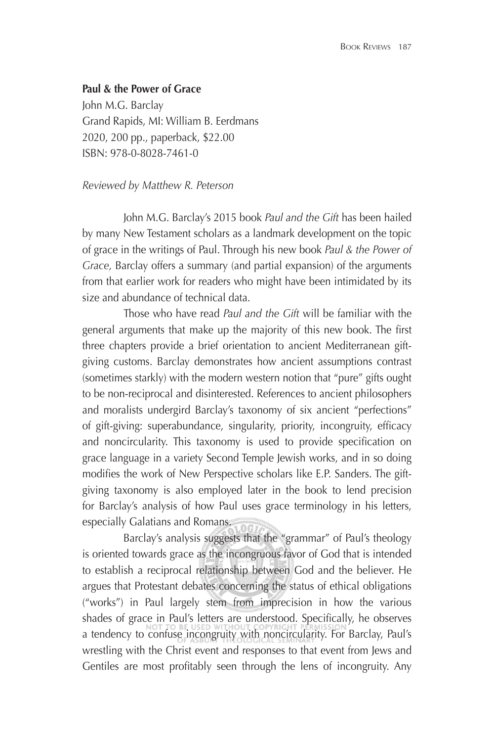### **Paul & the Power of Grace**

John M.G. Barclay Grand Rapids, MI: William B. Eerdmans 2020, 200 pp., paperback, \$22.00 ISBN: 978-0-8028-7461-0

#### *Reviewed by Matthew R. Peterson*

John M.G. Barclay's 2015 book *Paul and the Gift* has been hailed by many New Testament scholars as a landmark development on the topic of grace in the writings of Paul. Through his new book *Paul & the Power of Grace,* Barclay offers a summary (and partial expansion) of the arguments from that earlier work for readers who might have been intimidated by its size and abundance of technical data.

Those who have read *Paul and the Gift* will be familiar with the general arguments that make up the majority of this new book. The first three chapters provide a brief orientation to ancient Mediterranean giftgiving customs. Barclay demonstrates how ancient assumptions contrast (sometimes starkly) with the modern western notion that "pure" gifts ought to be non-reciprocal and disinterested. References to ancient philosophers and moralists undergird Barclay's taxonomy of six ancient "perfections" of gift-giving: superabundance, singularity, priority, incongruity, efficacy and noncircularity. This taxonomy is used to provide specification on grace language in a variety Second Temple Jewish works, and in so doing modifies the work of New Perspective scholars like E.P. Sanders. The giftgiving taxonomy is also employed later in the book to lend precision for Barclay's analysis of how Paul uses grace terminology in his letters, especially Galatians and Romans.

Barclay's analysis suggests that the "grammar" of Paul's theology is oriented towards grace as the incongruous favor of God that is intended to establish a reciprocal relationship between God and the believer. He argues that Protestant debates concerning the status of ethical obligations ("works") in Paul largely stem from imprecision in how the various shades of grace in Paul's letters are understood. Specifically, he observes a tendency to confuse incongruity with noncircularity. For Barclay, Paul's wrestling with the Christ event and responses to that event from Jews and Gentiles are most profitably seen through the lens of incongruity. Any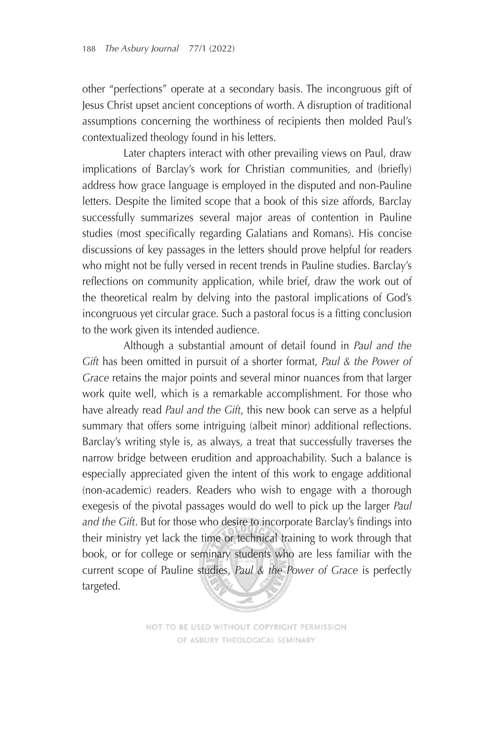other "perfections" operate at a secondary basis. The incongruous gift of Jesus Christ upset ancient conceptions of worth. A disruption of traditional assumptions concerning the worthiness of recipients then molded Paul's contextualized theology found in his letters.

Later chapters interact with other prevailing views on Paul, draw implications of Barclay's work for Christian communities, and (briefly) address how grace language is employed in the disputed and non-Pauline letters. Despite the limited scope that a book of this size affords, Barclay successfully summarizes several major areas of contention in Pauline studies (most specifically regarding Galatians and Romans). His concise discussions of key passages in the letters should prove helpful for readers who might not be fully versed in recent trends in Pauline studies. Barclay's reflections on community application, while brief, draw the work out of the theoretical realm by delving into the pastoral implications of God's incongruous yet circular grace. Such a pastoral focus is a fitting conclusion to the work given its intended audience.

Although a substantial amount of detail found in *Paul and the Gift* has been omitted in pursuit of a shorter format, *Paul & the Power of Grace* retains the major points and several minor nuances from that larger work quite well, which is a remarkable accomplishment. For those who have already read *Paul and the Gift*, this new book can serve as a helpful summary that offers some intriguing (albeit minor) additional reflections. Barclay's writing style is, as always, a treat that successfully traverses the narrow bridge between erudition and approachability. Such a balance is especially appreciated given the intent of this work to engage additional (non-academic) readers. Readers who wish to engage with a thorough exegesis of the pivotal passages would do well to pick up the larger *Paul*  and the Gift. But for those who desire to incorporate Barclay's findings into their ministry yet lack the time or technical training to work through that book, or for college or seminary students who are less familiar with the current scope of Pauline studies, *Paul & the Power of Grace* is perfectly targeted.

> NOT TO BE USED WITHOUT COPYRIGHT PERMISSION OF ASBURY THEOLOGICAL SEMINARY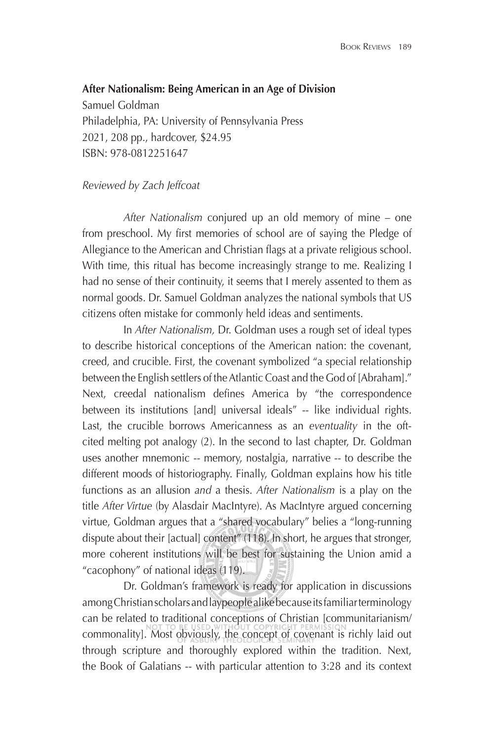#### **After Nationalism: Being American in an Age of Division**

Samuel Goldman Philadelphia, PA: University of Pennsylvania Press 2021, 208 pp., hardcover, \$24.95 ISBN: 978-0812251647

#### *Reviewed by Zach Jeffcoat*

*After Nationalism* conjured up an old memory of mine – one from preschool. My first memories of school are of saying the Pledge of Allegiance to the American and Christian flags at a private religious school. With time, this ritual has become increasingly strange to me. Realizing I had no sense of their continuity, it seems that I merely assented to them as normal goods. Dr. Samuel Goldman analyzes the national symbols that US citizens often mistake for commonly held ideas and sentiments.

In *After Nationalism,* Dr. Goldman uses a rough set of ideal types to describe historical conceptions of the American nation: the covenant, creed, and crucible. First, the covenant symbolized "a special relationship between the English settlers of the Atlantic Coast and the God of [Abraham]." Next, creedal nationalism defines America by "the correspondence between its institutions [and] universal ideals" -- like individual rights. Last, the crucible borrows Americanness as an *eventuality* in the oftcited melting pot analogy (2). In the second to last chapter, Dr. Goldman uses another mnemonic -- memory, nostalgia, narrative -- to describe the different moods of historiography. Finally, Goldman explains how his title functions as an allusion *and* a thesis. *After Nationalism* is a play on the title *After Virtue* (by Alasdair MacIntyre). As MacIntyre argued concerning virtue, Goldman argues that a "shared vocabulary" belies a "long-running dispute about their [actual] content" (118). In short, he argues that stronger, more coherent institutions will be best for sustaining the Union amid a "cacophony" of national ideas (119).

Dr. Goldman's framework is ready for application in discussions among Christian scholars and laypeople alike because its familiar terminology can be related to traditional conceptions of Christian [communitarianism/ commonality]. Most obviously, the concept of covenant is richly laid out through scripture and thoroughly explored within the tradition. Next, the Book of Galatians -- with particular attention to 3:28 and its context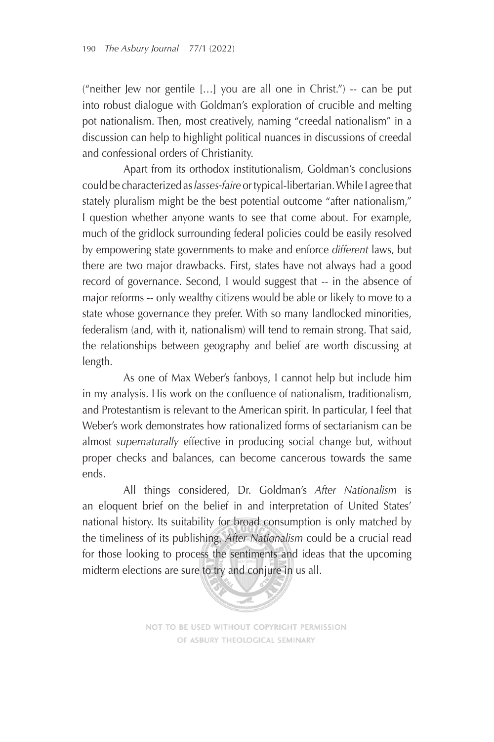("neither Jew nor gentile […] you are all one in Christ.") -- can be put into robust dialogue with Goldman's exploration of crucible and melting pot nationalism. Then, most creatively, naming "creedal nationalism" in a discussion can help to highlight political nuances in discussions of creedal and confessional orders of Christianity.

Apart from its orthodox institutionalism, Goldman's conclusions could be characterized as *lasses-faire* or typical-libertarian. While I agree that stately pluralism might be the best potential outcome "after nationalism," I question whether anyone wants to see that come about. For example, much of the gridlock surrounding federal policies could be easily resolved by empowering state governments to make and enforce *different* laws, but there are two major drawbacks. First, states have not always had a good record of governance. Second, I would suggest that -- in the absence of major reforms -- only wealthy citizens would be able or likely to move to a state whose governance they prefer. With so many landlocked minorities, federalism (and, with it, nationalism) will tend to remain strong. That said, the relationships between geography and belief are worth discussing at length.

As one of Max Weber's fanboys, I cannot help but include him in my analysis. His work on the confluence of nationalism, traditionalism, and Protestantism is relevant to the American spirit. In particular, I feel that Weber's work demonstrates how rationalized forms of sectarianism can be almost *supernaturally* effective in producing social change but, without proper checks and balances, can become cancerous towards the same ends.

All things considered, Dr. Goldman's *After Nationalism* is an eloquent brief on the belief in and interpretation of United States' national history. Its suitability for broad consumption is only matched by the timeliness of its publishing. *After Nationalism* could be a crucial read for those looking to process the sentiments and ideas that the upcoming midterm elections are sure to try and conjure in us all.



NOT TO BE USED WITHOUT COPYRIGHT PERMISSION OF ASBURY THEOLOGICAL SEMINARY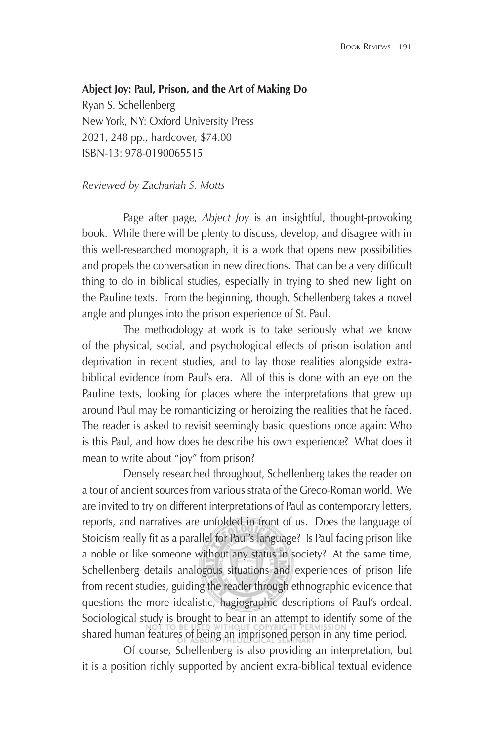#### **Abject Joy: Paul, Prison, and the Art of Making Do**

Ryan S. Schellenberg New York, NY: Oxford University Press 2021, 248 pp., hardcover, \$74.00 ISBN-13: 978-0190065515

#### *Reviewed by Zachariah S. Motts*

Page after page, *Abject Joy* is an insightful, thought-provoking book. While there will be plenty to discuss, develop, and disagree with in this well-researched monograph, it is a work that opens new possibilities and propels the conversation in new directions. That can be a very difficult thing to do in biblical studies, especially in trying to shed new light on the Pauline texts. From the beginning, though, Schellenberg takes a novel angle and plunges into the prison experience of St. Paul.

The methodology at work is to take seriously what we know of the physical, social, and psychological effects of prison isolation and deprivation in recent studies, and to lay those realities alongside extrabiblical evidence from Paul's era. All of this is done with an eye on the Pauline texts, looking for places where the interpretations that grew up around Paul may be romanticizing or heroizing the realities that he faced. The reader is asked to revisit seemingly basic questions once again: Who is this Paul, and how does he describe his own experience? What does it mean to write about "joy" from prison?

Densely researched throughout, Schellenberg takes the reader on a tour of ancient sources from various strata of the Greco-Roman world. We are invited to try on different interpretations of Paul as contemporary letters, reports, and narratives are unfolded in front of us. Does the language of Stoicism really fit as a parallel for Paul's language? Is Paul facing prison like a noble or like someone without any status in society? At the same time, Schellenberg details analogous situations and experiences of prison life from recent studies, guiding the reader through ethnographic evidence that questions the more idealistic, hagiographic descriptions of Paul's ordeal. Sociological study is brought to bear in an attempt to identify some of the shared human features of being an imprisoned person in any time period.

Of course, Schellenberg is also providing an interpretation, but it is a position richly supported by ancient extra-biblical textual evidence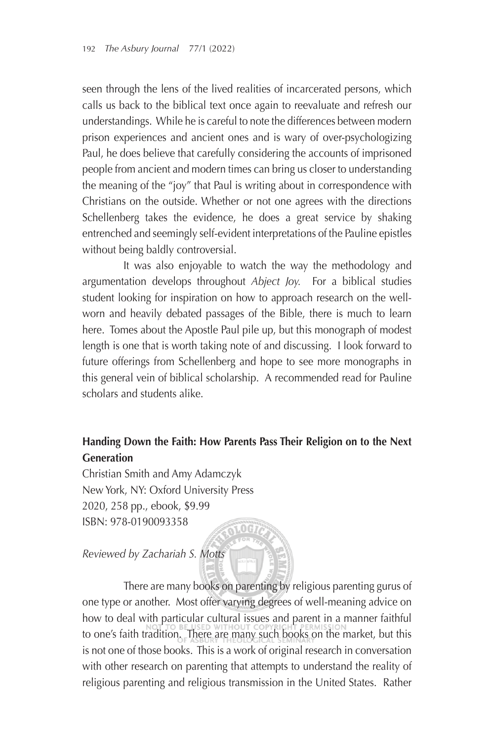seen through the lens of the lived realities of incarcerated persons, which calls us back to the biblical text once again to reevaluate and refresh our understandings. While he is careful to note the differences between modern prison experiences and ancient ones and is wary of over-psychologizing Paul, he does believe that carefully considering the accounts of imprisoned people from ancient and modern times can bring us closer to understanding the meaning of the "joy" that Paul is writing about in correspondence with Christians on the outside. Whether or not one agrees with the directions Schellenberg takes the evidence, he does a great service by shaking entrenched and seemingly self-evident interpretations of the Pauline epistles without being baldly controversial.

It was also enjoyable to watch the way the methodology and argumentation develops throughout *Abject Joy.* For a biblical studies student looking for inspiration on how to approach research on the wellworn and heavily debated passages of the Bible, there is much to learn here. Tomes about the Apostle Paul pile up, but this monograph of modest length is one that is worth taking note of and discussing. I look forward to future offerings from Schellenberg and hope to see more monographs in this general vein of biblical scholarship. A recommended read for Pauline scholars and students alike.

# **Handing Down the Faith: How Parents Pass Their Religion on to the Next Generation**

Christian Smith and Amy Adamczyk New York, NY: Oxford University Press 2020, 258 pp., ebook, \$9.99 ISBN: 978-0190093358  $0 G \tilde{r}$ 

## *Reviewed by Zachariah S. Motts*

There are many books on parenting by religious parenting gurus of one type or another. Most offer varying degrees of well-meaning advice on how to deal with particular cultural issues and parent in a manner faithful to one's faith tradition. There are many such books on the market, but this is not one of those books. This is a work of original research in conversation with other research on parenting that attempts to understand the reality of religious parenting and religious transmission in the United States. Rather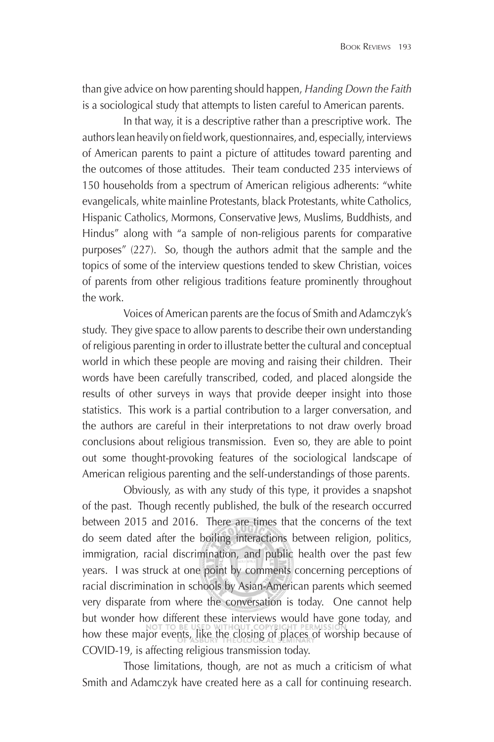than give advice on how parenting should happen, *Handing Down the Faith* is a sociological study that attempts to listen careful to American parents.

In that way, it is a descriptive rather than a prescriptive work. The authors lean heavily on field work, questionnaires, and, especially, interviews of American parents to paint a picture of attitudes toward parenting and the outcomes of those attitudes. Their team conducted 235 interviews of 150 households from a spectrum of American religious adherents: "white evangelicals, white mainline Protestants, black Protestants, white Catholics, Hispanic Catholics, Mormons, Conservative Jews, Muslims, Buddhists, and Hindus" along with "a sample of non-religious parents for comparative purposes" (227). So, though the authors admit that the sample and the topics of some of the interview questions tended to skew Christian, voices of parents from other religious traditions feature prominently throughout the work.

Voices of American parents are the focus of Smith and Adamczyk's study. They give space to allow parents to describe their own understanding of religious parenting in order to illustrate better the cultural and conceptual world in which these people are moving and raising their children. Their words have been carefully transcribed, coded, and placed alongside the results of other surveys in ways that provide deeper insight into those statistics. This work is a partial contribution to a larger conversation, and the authors are careful in their interpretations to not draw overly broad conclusions about religious transmission. Even so, they are able to point out some thought-provoking features of the sociological landscape of American religious parenting and the self-understandings of those parents.

Obviously, as with any study of this type, it provides a snapshot of the past. Though recently published, the bulk of the research occurred between 2015 and 2016. There are times that the concerns of the text do seem dated after the boiling interactions between religion, politics, immigration, racial discrimination, and public health over the past few years. I was struck at one point by comments concerning perceptions of racial discrimination in schools by Asian-American parents which seemed very disparate from where the conversation is today. One cannot help but wonder how different these interviews would have gone today, and how these major events, like the closing of places of worship because of COVID-19, is affecting religious transmission today.

Those limitations, though, are not as much a criticism of what Smith and Adamczyk have created here as a call for continuing research.